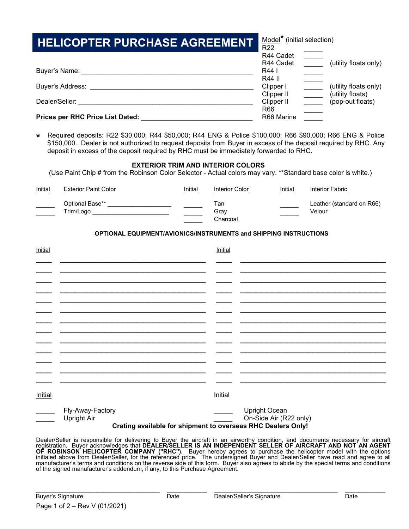| <b>HELICOPTER PURCHASE AGREEMENT</b> | Model <sup>*</sup> (initial selection)<br><b>R22</b> |                                           |
|--------------------------------------|------------------------------------------------------|-------------------------------------------|
|                                      | R44 Cadet<br>R44 Cadet                               | (utility floats only)                     |
| Buyer's Name:                        | R44 I<br>R44 II                                      |                                           |
| Buyer's Address:                     | Clipper I<br>Clipper II                              | (utility floats only)<br>(utility floats) |
| Dealer/Seller:                       | Clipper II<br>R66                                    | (pop-out floats)                          |
| Prices per RHC Price List Dated:     | R66 Marine                                           |                                           |

**\*** Required deposits: R22 \$30,000; R44 \$50,000; R44 ENG & Police \$100,000; R66 \$90,000; R66 ENG & Police \$150,000. Dealer is not authorized to request deposits from Buyer in excess of the deposit required by RHC. Any deposit in excess of the deposit required by RHC must be immediately forwarded to RHC.

# **EXTERIOR TRIM AND INTERIOR COLORS**

(Use Paint Chip # from the Robinson Color Selector - Actual colors may vary. \*\*Standard base color is white.)

| <b>Initial</b> | <b>Exterior Paint Color</b>  | <b>Initial</b> | Interior Color          | <b>Initial</b> | Interior Fabric                     |
|----------------|------------------------------|----------------|-------------------------|----------------|-------------------------------------|
|                | Optional Base**<br>Trim/Logo |                | Гаn<br>Grav<br>Charcoal |                | Leather (standard on R66)<br>Velour |

# **OPTIONAL EQUIPMENT/AVIONICS/INSTRUMENTS and SHIPPING INSTRUCTIONS**

| <b>Initial</b> |                                                                                                 | Initial |                                                |
|----------------|-------------------------------------------------------------------------------------------------|---------|------------------------------------------------|
|                |                                                                                                 |         |                                                |
|                |                                                                                                 |         |                                                |
|                |                                                                                                 |         |                                                |
|                |                                                                                                 |         |                                                |
|                |                                                                                                 |         |                                                |
|                |                                                                                                 |         |                                                |
|                |                                                                                                 |         |                                                |
|                |                                                                                                 |         |                                                |
| <b>Initial</b> |                                                                                                 | Initial |                                                |
|                | Fly-Away-Factory<br>Upright Air<br>Crating available for shipment to overseas RHC Dealers Only! |         | <b>Upright Ocean</b><br>On-Side Air (R22 only) |

Dealer/Seller is responsible for delivering to Buyer the aircraft in an airworthy condition, and documents necessary for aircraft registration. Buyer acknowledges that **DEALER/SELLER IS AN INDEPENDENT SELLER OF AIRCRAFT AND NOT AN AGENT OF ROBINSON HELICOPTER COMPANY ("RHC").** Buyer hereby agrees to purchase the helicopter model with the options initialed above from Dealer/Seller, for the referenced price. The undersigned Buyer and Dealer/Seller have read and agree to all manufacturer's terms and conditions on the reverse side of this form. Buyer also agrees to abide by the special terms and conditions of the signed manufacturer's addendum, if any, to this Purchase Agreement.